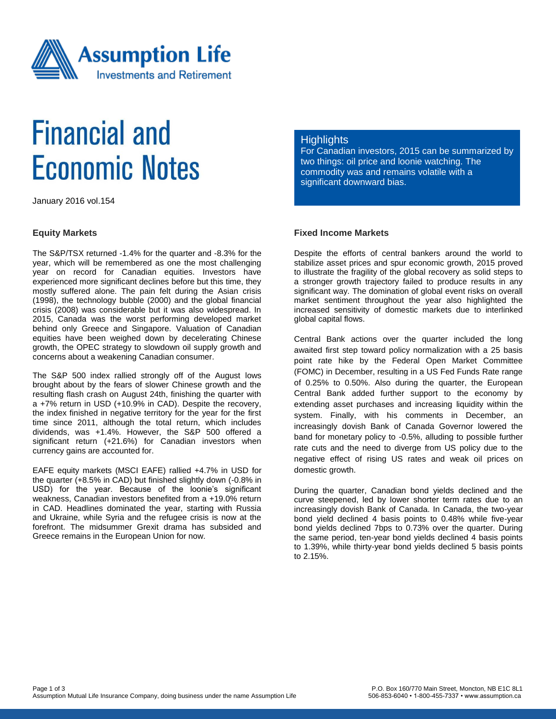

# **Financial and Economic Notes**

January 2016 vol.154

#### **Equity Markets**

The S&P/TSX returned -1.4% for the quarter and -8.3% for the year, which will be remembered as one the most challenging year on record for Canadian equities. Investors have experienced more significant declines before but this time, they mostly suffered alone. The pain felt during the Asian crisis (1998), the technology bubble (2000) and the global financial crisis (2008) was considerable but it was also widespread. In 2015, Canada was the worst performing developed market behind only Greece and Singapore. Valuation of Canadian equities have been weighed down by decelerating Chinese growth, the OPEC strategy to slowdown oil supply growth and concerns about a weakening Canadian consumer.

The S&P 500 index rallied strongly off of the August lows brought about by the fears of slower Chinese growth and the resulting flash crash on August 24th, finishing the quarter with a +7% return in USD (+10.9% in CAD). Despite the recovery, the index finished in negative territory for the year for the first time since 2011, although the total return, which includes dividends, was +1.4%. However, the S&P 500 offered a significant return (+21.6%) for Canadian investors when currency gains are accounted for.

EAFE equity markets (MSCI EAFE) rallied +4.7% in USD for the quarter (+8.5% in CAD) but finished slightly down (-0.8% in USD) for the year. Because of the loonie's significant weakness, Canadian investors benefited from a +19.0% return in CAD. Headlines dominated the year, starting with Russia and Ukraine, while Syria and the refugee crisis is now at the forefront. The midsummer Grexit drama has subsided and Greece remains in the European Union for now.

### **Highlights**

For Canadian investors, 2015 can be summarized by two things: oil price and loonie watching. The commodity was and remains volatile with a significant downward bias.

## **Fixed Income Markets**

Despite the efforts of central bankers around the world to stabilize asset prices and spur economic growth, 2015 proved to illustrate the fragility of the global recovery as solid steps to a stronger growth trajectory failed to produce results in any significant way. The domination of global event risks on overall market sentiment throughout the year also highlighted the increased sensitivity of domestic markets due to interlinked global capital flows.

Central Bank actions over the quarter included the long awaited first step toward policy normalization with a 25 basis point rate hike by the Federal Open Market Committee (FOMC) in December, resulting in a US Fed Funds Rate range of 0.25% to 0.50%. Also during the quarter, the European Central Bank added further support to the economy by extending asset purchases and increasing liquidity within the system. Finally, with his comments in December, an increasingly dovish Bank of Canada Governor lowered the band for monetary policy to -0.5%, alluding to possible further rate cuts and the need to diverge from US policy due to the negative effect of rising US rates and weak oil prices on domestic growth.

During the quarter, Canadian bond yields declined and the curve steepened, led by lower shorter term rates due to an increasingly dovish Bank of Canada. In Canada, the two-year bond yield declined 4 basis points to 0.48% while five-year bond yields declined 7bps to 0.73% over the quarter. During the same period, ten-year bond yields declined 4 basis points to 1.39%, while thirty-year bond yields declined 5 basis points to 2.15%.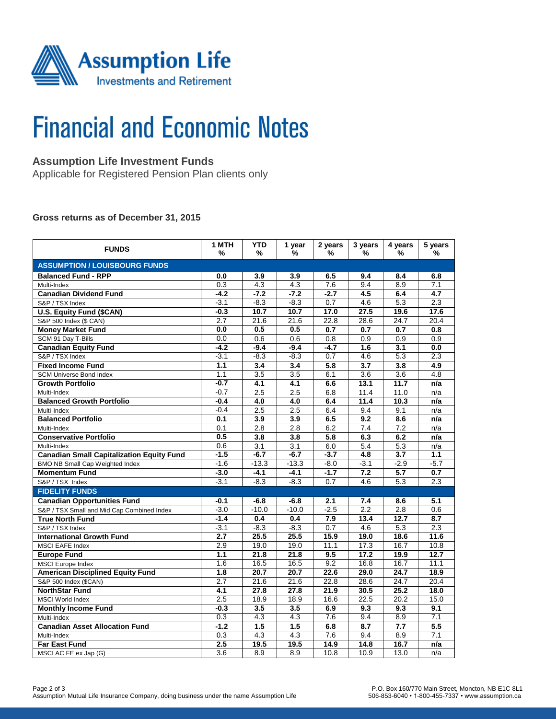

# **Financial and Economic Notes**

# **Assumption Life Investment Funds**

Applicable for Registered Pension Plan clients only

### **Gross returns as of December 31, 2015**

| <b>FUNDS</b>                                     | 1 MTH<br>%        | <b>YTD</b><br>%  | 1 year<br>%      | 2 years<br>%     | 3 years<br>%     | 4 years<br>%     | 5 years<br>%     |  |  |  |
|--------------------------------------------------|-------------------|------------------|------------------|------------------|------------------|------------------|------------------|--|--|--|
| <b>ASSUMPTION / LOUISBOURG FUNDS</b>             |                   |                  |                  |                  |                  |                  |                  |  |  |  |
| <b>Balanced Fund - RPP</b>                       | 0.0               | 3.9              | 3.9              | 6.5              | 9.4              | 8.4              | 6.8              |  |  |  |
| Multi-Index                                      | $\overline{0.3}$  | $\overline{4.3}$ | $\overline{4.3}$ | $\overline{7.6}$ | 9.4              | 8.9              | 7.1              |  |  |  |
| <b>Canadian Dividend Fund</b>                    | $-4.2$            | $-7.2$           | $-7.2$           | $-2.7$           | 4.5              | 6.4              | 4.7              |  |  |  |
| S&P / TSX Index                                  | $-3.1$            | $-8.3$           | $-8.3$           | $\overline{0.7}$ | 4.6              | 5.3              | $\overline{2.3}$ |  |  |  |
| U.S. Equity Fund (\$CAN)                         | $-0.3$            | 10.7             | 10.7             | 17.0             | 27.5             | 19.6             | 17.6             |  |  |  |
| S&P 500 Index (\$ CAN)                           | 2.7               | 21.6             | 21.6             | 22.8             | 28.6             | 24.7             | 20.4             |  |  |  |
| <b>Money Market Fund</b>                         | 0.0               | 0.5              | 0.5              | 0.7              | 0.7              | 0.7              | 0.8              |  |  |  |
| SCM 91 Day T-Bills                               | 0.0               | 0.6              | 0.6              | 0.8              | 0.9              | 0.9              | 0.9              |  |  |  |
| <b>Canadian Equity Fund</b>                      | $-4.2$            | $-9.4$           | $-9.4$           | $-4.7$           | 1.6              | $\overline{3.1}$ | 0.0              |  |  |  |
| S&P / TSX Index                                  | $-3.1$            | $-8.3$           | $-8.3$           | 0.7              | 4.6              | 5.3              | 2.3              |  |  |  |
| <b>Fixed Income Fund</b>                         | 1.1               | 3.4              | 3.4              | 5.8              | $\overline{3.7}$ | 3.8              | 4.9              |  |  |  |
| <b>SCM Universe Bond Index</b>                   | 1.1               | 3.5              | 3.5              | 6.1              | 3.6              | 3.6              | 4.8              |  |  |  |
| <b>Growth Portfolio</b>                          | $-0.7$            | 4.1              | 4.1              | 6.6              | 13.1             | 11.7             | n/a              |  |  |  |
| Multi-Index                                      | $-0.7$            | 2.5              | 2.5              | 6.8              | 11.4             | 11.0             | n/a              |  |  |  |
| <b>Balanced Growth Portfolio</b>                 | $-0.4$            | 4.0              | 4.0              | 6.4              | 11.4             | 10.3             | n/a              |  |  |  |
| Multi-Index                                      | $-0.4$            | 2.5              | 2.5              | 6.4              | 9.4              | 9.1              | n/a              |  |  |  |
| <b>Balanced Portfolio</b>                        | 0.1               | $\overline{3.9}$ | $\overline{3.9}$ | 6.5              | 9.2              | 8.6              | n/a              |  |  |  |
| Multi-Index                                      | 0.1               | 2.8              | 2.8              | 6.2              | 7.4              | 7.2              | n/a              |  |  |  |
| <b>Conservative Portfolio</b>                    | 0.5               | 3.8              | 3.8              | 5.8              | 6.3              | 6.2              | n/a              |  |  |  |
| Multi-Index                                      | 0.6               | 3.1              | 3.1              | 6.0              | 5.4              | 5.3              | n/a              |  |  |  |
| <b>Canadian Small Capitalization Equity Fund</b> | $-1.5$            | $-6.7$           | $-6.7$           | $-3.7$           | 4.8              | $\overline{3.7}$ | 1.1              |  |  |  |
| <b>BMO NB Small Cap Weighted Index</b>           | $-1.6$            | $-13.3$          | $-13.3$          | $-8.0$           | $-3.1$           | $-2.9$           | $-5.7$           |  |  |  |
| <b>Momentum Fund</b>                             | $\overline{-3.0}$ | $-4.1$           | $-4.1$           | $-1.7$           | $\overline{7.2}$ | 5.7              | 0.7              |  |  |  |
| S&P / TSX Index                                  | $-3.1$            | $-8.3$           | $-8.3$           | $\overline{0.7}$ | $\overline{4.6}$ | 5.3              | $\overline{2.3}$ |  |  |  |
| <b>FIDELITY FUNDS</b>                            |                   |                  |                  |                  |                  |                  |                  |  |  |  |
| <b>Canadian Opportunities Fund</b>               | $-0.1$            | $-6.8$           | $-6.8$           | 2.1              | 7.4              | 8.6              | 5.1              |  |  |  |
| S&P / TSX Small and Mid Cap Combined Index       | $-3.0$            | $-10.0$          | $-10.0$          | $-2.5$           | 2.2              | 2.8              | 0.6              |  |  |  |
| <b>True North Fund</b>                           | $-1.4$            | 0.4              | 0.4              | 7.9              | 13.4             | 12.7             | $\overline{8.7}$ |  |  |  |
| S&P / TSX Index                                  | $-3.1$            | $-8.3$           | $-8.3$           | 0.7              | 4.6              | 5.3              | 2.3              |  |  |  |
| <b>International Growth Fund</b>                 | $\overline{2.7}$  | 25.5             | 25.5             | 15.9             | 19.0             | 18.6             | 11.6             |  |  |  |
| <b>MSCI EAFE Index</b>                           | 2.9               | 19.0             | 19.0             | 11.1             | 17.3             | 16.7             | 10.8             |  |  |  |
| <b>Europe Fund</b>                               | $\overline{1.1}$  | 21.8             | 21.8             | 9.5              | 17.2             | 19.9             | 12.7             |  |  |  |
| <b>MSCI</b> Europe Index                         | 1.6               | 16.5             | 16.5             | 9.2              | 16.8             | 16.7             | 11.1             |  |  |  |
| <b>American Disciplined Equity Fund</b>          | $\overline{1.8}$  | 20.7             | 20.7             | 22.6             | 29.0             | 24.7             | 18.9             |  |  |  |
| S&P 500 Index (\$CAN)                            | 2.7               | 21.6             | 21.6             | 22.8             | 28.6             | 24.7             | 20.4             |  |  |  |
| <b>NorthStar Fund</b>                            | 4.1               | 27.8             | 27.8             | 21.9             | 30.5             | 25.2             | 18.0             |  |  |  |
| MSCI World Index                                 | 2.5               | 18.9             | 18.9             | 16.6             | 22.5             | 20.2             | 15.0             |  |  |  |
| <b>Monthly Income Fund</b>                       | $-0.3$            | 3.5              | 3.5              | 6.9              | 9.3              | 9.3              | 9.1              |  |  |  |
| Multi-Index                                      | 0.3               | 4.3              | 4.3              | 7.6              | 9.4              | 8.9              | 7.1              |  |  |  |
| <b>Canadian Asset Allocation Fund</b>            | $-1.2$            | 1.5              | 1.5              | 6.8              | 8.7              | 7.7              | 5.5              |  |  |  |
| Multi-Index                                      | 0.3               | 4.3              | 4.3              | 7.6              | 9.4              | 8.9              | 7.1              |  |  |  |
| <b>Far East Fund</b>                             | 2.5               | 19.5             | 19.5             | 14.9             | 14.8             | 16.7             | n/a              |  |  |  |
| MSCI AC FE ex Jap (G)                            | 3.6               | 8.9              | 8.9              | 10.8             | 10.9             | 13.0             | n/a              |  |  |  |